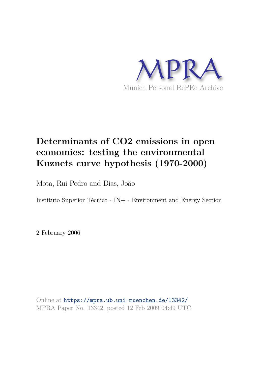

# **Determinants of CO2 emissions in open economies: testing the environmental Kuznets curve hypothesis (1970-2000)**

Mota, Rui Pedro and Dias, João

Instituto Superior Técnico - IN+ - Environment and Energy Section

2 February 2006

Online at https://mpra.ub.uni-muenchen.de/13342/ MPRA Paper No. 13342, posted 12 Feb 2009 04:49 UTC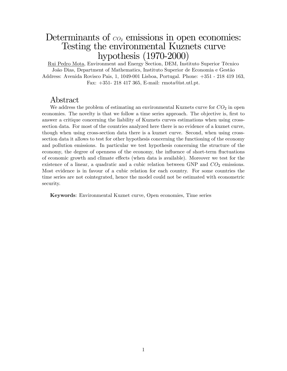## Determinants of  $co<sub>2</sub>$  emissions in open economies: Testing the environmental Kuznets curve hypothesis (1970-2000)

Rui Pedro Mota, Environment and Energy Section, DEM, Instituto Superior Técnico João Dias, Department of Mathematics, Instituto Superior de Economia e Gestão Address: Avenida Rovisco Pais, 1, 1049-001 Lisboa, Portugal. Phone: +351 - 218 419 163, Fax: +351- 218 417 365, E-mail: rmota@ist.utl.pt.

## Abstract

We address the problem of estimating an environmental Kuznets curve for  $CO<sub>2</sub>$  in open economies. The novelty is that we follow a time series approach. The objective is, first to answer a critique concerning the liability of Kuznets curves estimations when using crosssection data. For most of the countries analyzed here there is no evidence of a kuznet curve, though when using cross-section data there is a kuznet curve. Second, when using crosssection data it allows to test for other hypothesis concerning the functioning of the economy and pollution emissions. In particular we test hypothesis concerning the structure of the economy, the degree of openness of the economy, the influence of short-term fluctuations of economic growth and climate effects (when data is available). Moreover we test for the existence of a linear, a quadratic and a cubic relation between GNP and  $CO<sub>2</sub>$  emissions. Most evidence is in favour of a cubic relation for each country. For some countries the time series are not cointegrated, hence the model could not be estimated with econometric security.

Keywords: Environmental Kuznet curve, Open economies, Time series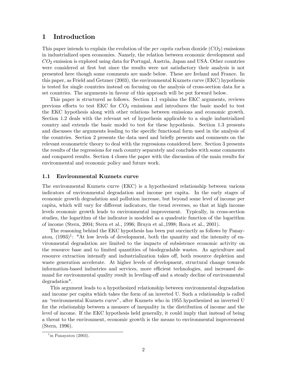## 1 Introduction

This paper intends to explain the evolution of the *per capita* carbon dioxide  $(CO_2)$  emissions in industrialized open economies. Namely, the relation between economic development and  $CO<sub>2</sub>$  emission is explored using data for Portugal, Austria, Japan and USA. Other countries were considered at first but since the results were not satisfactory their analysis is not presented here though some comments are made below. These are Ireland and France. In this paper, as Frield and Getzner (2003), the environmental Kuznets curve (EKC) hypothesis is tested for single countries instead on focusing on the analysis of cross-section data for a set countries. The arguments in favour of this approach will be put forward below.

This paper is structured as follows. Section 1.1 explains the EKC arguments, reviews previous efforts to test EKC for  $CO<sub>2</sub>$  emissions and introduces the basic model to test the EKC hypothesis along with other relations between emissions and economic growth. Section 1.2 deals with the relevant set of hypothesis applicable to a single industrialized country and extends the basic model to test for these hypothesis. Section 1.3 presents and discusses the arguments leading to the specific functional form used in the analysis of the countries. Section 2 presents the data used and briefly presents and comments on the relevant econometric theory to deal with the regressions considered here. Section 3 presents the results of the regressions for each country separately and concludes with some comments and compared results. Section 4 closes the paper with the discussion of the main results for environmental and economic policy and future work.

#### 1.1 Environmental Kuznets curve

The environmental Kuznets curve (EKC) is a hypothesized relationship between various indicators of environmental degradation and income per capita. In the early stages of economic growth degradation and pollution increase, but beyond some level of income per capita, which will vary for different indicators, the trend reverses, so that at high income levels economic growth leads to environmental improvement. Typically, in cross-section studies, the logarithm of the indicator is modeled as a quadratic function of the logarithm of income (Stern, 2004; Stern et al., 1996; Bruyn et al.,1998; Roca et al., 2001).

The reasoning behind the EKC hypothesis has been put succinctly as follows by Panayatou,  $(1993)^1$ : "At low levels of development, both the quantity and the intensity of environmental degradation are limited to the impacts of subsistence economic activity on the resource base and to limited quantities of biodegradable wastes. As agriculture and resource extraction intensify and industrialization takes off, both resource depletion and waste generation accelerate. At higher levels of development, structural change towards information-based industries and services, more efficient technologies, and increased demand for environmental quality result in leveling-off and a steady decline of environmental degradation".

This argument leads to a hypothesized relationship between environmental degradation and income per capita which takes the form of an inverted U. Such a relationship is called an "environmental Kuznets curve", after Kuznets who in 1955 hypothesized an inverted U for the relationship between a measure of inequality in the distribution of income and the level of income. If the EKC hypothesis held generally, it could imply that instead of being a threat to the environment, economic growth is the means to environmental improvement (Stern, 1996).

 $\frac{1}{1}$ in Panayatou (2003).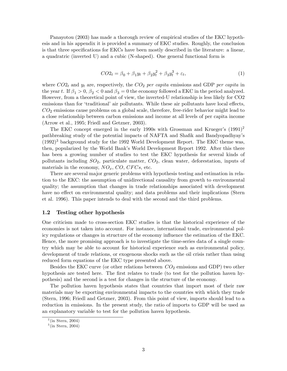Panayotou (2003) has made a thorough review of empirical studies of the EKC hypothesis and in his appendix it is provided a summary of EKC studies. Roughly, the conclusion is that three specifications for EKCs have been mostly described in the literature: a linear, a quadratric (inverted U) and a cubic (N-shaped). One general functional form is

$$
CO2_t = \beta_0 + \beta_1 y_t + \beta_2 y_t^2 + \beta_3 y_t^3 + \varepsilon_t,
$$
\n(1)

where  $CO2<sub>t</sub>$  and  $y<sub>t</sub>$  are, respectively, the  $CO<sub>2</sub>$  per capita emissions and GDP per capita in the year t. If  $\beta_1 > 0$ ,  $\beta_2 < 0$  and  $\beta_3 = 0$  the economy followed a EKC in the period analyzed. However, from a theoretical point of view, the inverted-U relationship is less likely for CO2 emissions than for 'traditional' air pollutants. While these air pollutants have local effects,  $CO<sub>2</sub>$  emissions cause problems on a global scale, therefore, free-rider behavior might lead to a close relationship between carbon emissions and income at all levels of per capita income (Arrow et al., 1995; Friedl and Getzner, 2003).

The EKC concept emerged in the early 1990s with Grossman and Krueger's  $(1991)^2$ pathbreaking study of the potential impacts of NAFTA and Shafik and Bandyopadhyay's  $(1992)^3$  background study for the 1992 World Development Report. The EKC theme was, then, popularized by the World Bankís World Development Report 1992. After this there has been a growing number of studies to test the EKC hypothesis for several kinds of pollutants including  $SO_2$ , particulate matter,  $CO_2$ , clean water, deforestation, inputs of materials in the economy,  $NO_x$ ,  $CO$ ,  $CFCs$ , etc.

There are several major generic problems with hypothesis testing and estimation in relation to the EKC: the assumption of unidirectional causality from growth to environmental quality; the assumption that changes in trade relationships associated with development have no effect on environmental quality; and data problems and their implications (Stern et al. 1996). This paper intends to deal with the second and the third problems.

#### 1.2 Testing other hypothesis

One criticism made to cross-section EKC studies is that the historical experience of the economies is not taken into account. For instance, international trade, environmental policy regulations or changes in structure of the economy ináuence the estimation of the EKC. Hence, the more promising approach is to investigate the time-series data of a single country which may be able to account for historical experience such as environmental policy, development of trade relations, or exogenous shocks such as the oil crisis rather than using reduced form equations of the EKC type presented above.

Besides the EKC curve (or other relations between  $CO<sub>2</sub>$  emissions and GDP) two other hypothesis are tested here. The first relates to trade (to test for the pollution haven hypothesis) and the second is a test for changes in the structure of the economy.

The pollution haven hypothesis states that countries that import most of their raw materials may be exporting environmental impacts to the countries with which they trade (Stern, 1996; Friedl and Getzner, 2003). From this point of view, imports should lead to a reduction in emissions. In the present study, the ratio of imports to GDP will be used as an explanatory variable to test for the pollution haven hypothesis.

 $2$ (in Stern, 2004)

 $3$ (in Stern, 2004)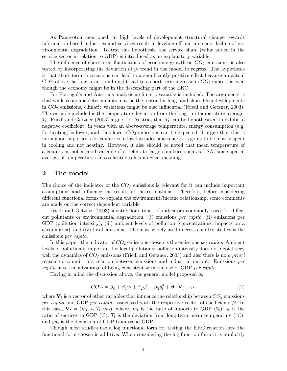As Panayotou mentioned, at high levels of development structural change towards information-based industries and services result in leveling-off and a steady decline of environmental degradation. To test this hypothesis, the service share (value added in the service sector in relation to GDP) is introduced as an explanatory variable.

The influence of short-term fluctuations of economic growth on  $CO<sub>2</sub>$  emissions, is also tested by incorporating the deviation of  $y_t$  trend in the model to regress. The hypothesis is that short-term fluctuations can lead to a significantly positive effect because an actual GDP above the long-term trend might lead to a short-term increase in  $CO<sub>2</sub>$  emissions even though the economy might be in the descending part of the EKC.

For Portugal's and Austria's analysis a climatic variable is included. The arguments is that while economic determinants may be the reason for long- and short-term developments in  $CO<sub>2</sub>$  emissions, climatic variations might be also influential (Friedl and Getzner, 2003). The variable included is the temperature deviation from the long-run temperature average,  $T_t$ . Friedl and Getzner (2003) argue, for Austria, that  $T_t$  can be hypothesized to exhibit a negative coefficient: in years with an above-average temperature, energy consumption (e.g. for heating) is lower, and thus lower  $CO<sub>2</sub>$  emissions can be expected. I argue that this is not a good hypothesis for countries in low latitudes since energy is going to be mostly spent in cooling and not heating. However, it also should be noted that mean temperature of a country is not a good variable if it refers to large countries such as USA, since spatial average of temperatures across latitudes has no clear meaning.

## 2 The model

The choice of the indicator of the  $CO<sub>2</sub>$  emissions is relevant for it can include important assumptions and influence the results of the estimations. Therefore, before considering different functional forms to explain the environment/income relationship, some comments are made on the correct dependent variable.

Friedl and Getzner (2003) identify four types of indicators commonly used for different pollutants or environmental degradation: (i) emissions per capita, (ii) emissions per GDP (pollution intensity), (iii) ambient levels of pollution (concentrations; impacts on a certain area), and (iv) total emissions. The most widely used in cross-country studies is the emissions per capita.

In this paper, the indicator of  $CO<sub>2</sub>$  emissions chosen is the emissions per capita. Ambient levels of pollution is important for local pollutants; pollution intensity does not depict very well the dynamics of  $CO_2$  emissions (Friedl and Getzner, 2003) and also there is no a priori reason to commit to a relation between emissions and industrial output. Emissions per capita have the advantage of being consistent with the use of GDP per capita.

Having in mind the discussion above, the general model proposed is,

$$
CO2t = \beta_0 + \beta_1 y_t + \beta_2 y_t^2 + \beta_3 y_t^3 + \boldsymbol{\beta} \cdot \mathbf{V}_t + \varepsilon_t, \tag{2}
$$

where  $V_t$  is a vector of other variables that influence the relationship between  $CO_2$  emissions per capita and GDP per capita, associated with the respective vector of coefficients  $\beta$ . In this case,  $\mathbf{V}_t = (m_t, s_t, T_t, yd_t)$ , where,  $m_t$  is the ratio of imports to GDP (%),  $s_t$  is the ratio of services to GDP (%),  $T_t$  is the deviation from long-term mean temperature (°C), and  $y d_t$  is the deviation of GDP from trend-GDP.

Though most studies use a log functional form for testing the EKC relation here the functional form chosen is additive. When considering the log function form it is implicitly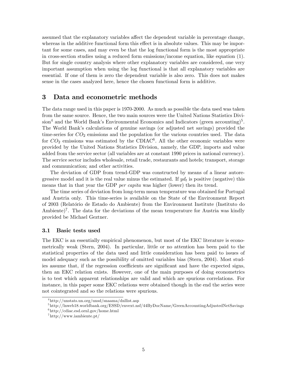assumed that the explanatory variables affect the dependent variable in percentage change, whereas in the additive functional form this effect is in absolute values. This may be important for some cases, and may even be that the log functional form is the most appropriate in cross-section studies using a reduced form emissions/income equation, like equation (1). But for single country analysis where other explanatory variables are considered, one very important assumption when using the log functional is that all explanatory variables are essential. If one of them is zero the dependent variable is also zero. This does not makes sense in the cases analyzed here, hence the chosen functional form is additive.

## 3 Data and econometric methods

The data range used in this paper is 1970-2000. As much as possible the data used was taken from the same source. Hence, the two main sources were the United Nations Statistics Divi- $\sin^4$  and the World Bank's Environmental Economics and Indicators (green accounting)<sup>5</sup>. The World Bank's calculations of genuine savings (or adjusted net savings) provided the time-series for  $CO<sub>2</sub>$  emissions and the population for the various countries used. The data for  $CO<sub>2</sub>$  emissions was estimated by the CDIAC<sup>6</sup>. All the other economic variables were provided by the United Nations Statistics Division, namely, the GDP, imports and value added from the service sector (all variables are at constant 1990 prices in national currency). The service sector includes wholesale, retail trade, restaurants and hotels; transport, storage and communication; and other activities.

The deviation of GDP from trend-GDP was constructed by means of a linear autoregressive model and it is the real value minus the estimated. If  $y d_t$  is positive (negative) this means that in that year the GDP *per capita* was higher (lower) then its trend.

The time series of deviation from long-term mean temperature was obtained for Portugal and Austria only. This time-series is available on the State of the Environment Report of 2003 (RelatÛrio de Estado do Ambiente) from the Environment Institute (Instituto do Ambiente)<sup>7</sup>. The data for the deviations of the mean temperature for Austria was kindly provided be Michael Geztner.

#### 3.1 Basic tests used

The EKC is an essentially empirical phenomenon, but most of the EKC literature is econometrically weak (Stern, 2004). In particular, little or no attention has been paid to the statistical properties of the data used and little consideration has been paid to issues of model adequacy such as the possibility of omitted variables bias (Stern, 2004). Most studies assume that, if the regression coefficients are significant and have the expected signs, then an EKC relation exists. However, one of the main purposes of doing econometrics is to test which apparent relationships are valid and which are spurious correlations. For instance, in this paper some EKC relations were obtained though in the end the series were not cointegrated and so the relations were spurious.

<sup>4</sup> http://unstats.un.org/unsd/snaama/dnllist.asp

 $^{5}$ http://lnweb18.worldbank.org/ESSD/envext.nsf/44ByDocName/GreenAccountingAdjustedNetSavings 6 http://cdiac.esd.ornl.gov/home.html

<sup>7</sup> http://www.iambiente.pt/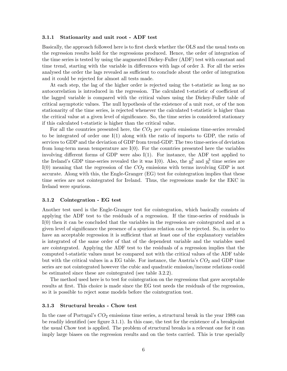#### 3.1.1 Stationarity and unit root - ADF test

Basically, the approach followed here is to first check whether the OLS and the usual tests on the regression results hold for the regressions produced. Hence, the order of integration of the time series is tested by using the augmented Dickey-Fuller (ADF) test with constant and time trend, starting with the variable in differences with lags of order 3. For all the series analysed the order the lags revealed as sufficient to conclude about the order of integration and it could be rejected for almost all tests made.

At each step, the lag of the higher order is rejected using the t-statistic as long as no autocorrelation is introduced in the regression. The calculated t-statistic of coefficient of the lagged variable is compared with the critical values using the Dickey-Fuller table of critical asymptotic values. The null hypothesis of the existence of a unit root, or of the non stationarity of the time series, is rejected whenever the calculated t-statistic is higher than the critical value at a given level of significance. So, the time series is considered stationary if this calculated t-statistic is higher than the critical value.

For all the countries presented here, the  $CO<sub>2</sub>$  per capita emissions time-series revealed to be integrated of order one I(1) along with the ratio of imports to GDP, the ratio of services to GDP and the deviation of GDP from trend-GDP. The two time-series of deviation from long-term mean temperature are  $I(0)$ . For the countries presented here the variables involving different forms of GDP were also  $I(1)$ . For instance, the ADF test applied to the Ireland's GDP time-series revealed the it was I(0). Also, the  $y_t^2$  and  $y_t^3$  time series are  $I(0)$  meaning that the regression of the  $CO<sub>2</sub>$  emissions with terms involving GDP is not accurate. Along with this, the Engle-Granger (EG) test for cointegration implies that these time series are not cointegrated for Ireland. Thus, the regressions made for the EKC in Ireland were spurious.

#### 3.1.2 Cointegration - EG test

Another test used is the Engle-Granger test for cointegration, which basically consists of applying the ADF test to the residuals of a regression. If the time-series of residuals is I(0) then it can be concluded that the variables in the regression are cointegrated and at a given level of significance the presence of a spurious relation can be rejected. So, in order to have an acceptable regression it is sufficient that at least one of the explanatory variables is integrated of the same order of that of the dependent variable and the variables used are cointegrated. Applying the ADF test to the residuals of a regression implies that the computed t-statistic values must be compared not with the critical values of the ADF table but with the critical values in a EG table. For instance, the Austria's  $CO_2$  and GDP time series are not cointegrated however the cubic and quadratic emission/income relations could be estimated since these are cointegrated (see table 3.2.2).

The method used here is to test for cointegration on the regressions that gave acceptable results at first. This choice is made since the EG test needs the residuals of the regression, so it is possible to reject some models before the cointegration test.

#### 3.1.3 Structural breaks - Chow test

In the case of Portugal's  $CO_2$  emissions time series, a structural break in the year 1988 can be readily identified (see figure  $3.1.1$ ). In this case, the test for the existence of a breakpoint the usual Chow test is applied. The problem of structural breaks is a relevant one for it can imply large biases on the regression results and on the tests carried. This is true specially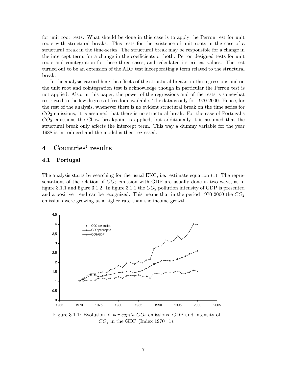for unit root tests. What should be done in this case is to apply the Perron test for unit roots with structural breaks. This tests for the existence of unit roots in the case of a structural break in the time-series. The structural break may be responsible for a change in the intercept term, for a change in the coefficients or both. Perron designed tests for unit roots and cointegration for these three cases, and calculated its critical values. The test turned out to be an extension of the ADF test incorporating a term related to the structural break.

In the analysis carried here the effects of the structural breaks on the regressions and on the unit root and cointegration test is acknowledge though in particular the Perron test is not applied. Also, in this paper, the power of the regressions and of the tests is somewhat restricted to the few degrees of freedom available. The data is only for 1970-2000. Hence, for the rest of the analysis, whenever there is no evident structural break on the time series for  $CO<sub>2</sub>$  emissions, it is assumed that there is no structural break. For the case of Portugal's  $CO<sub>2</sub>$  emissions the Chow breakpoint is applied, but additionally it is assumed that the structural break only affects the intercept term. This way a dummy variable for the year 1988 is introduced and the model is then regressed.

## 4 Countries' results

#### 4.1 Portugal

The analysis starts by searching for the usual EKC, i.e., estimate equation (1). The representations of the relation of  $CO<sub>2</sub>$  emission with GDP are usually done in two ways, as in figure 3.1.1 and figure 3.1.2. In figure 3.1.1 the  $CO<sub>2</sub>$  pollution intensity of GDP is presented and a positive trend can be recognized. This means that in the period 1970-2000 the  $CO<sub>2</sub>$ emissions were growing at a higher rate than the income growth.



Figure 3.1.1: Evolution of *per capita*  $CO<sub>2</sub>$  emissions, GDP and intensity of  $CO<sub>2</sub>$  in the GDP (Index 1970=1).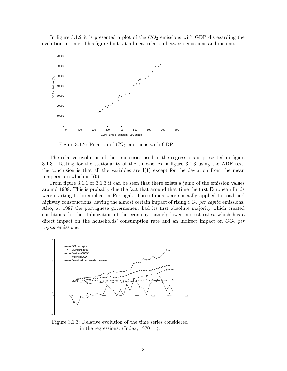In figure 3.1.2 it is presented a plot of the  $CO<sub>2</sub>$  emissions with GDP disregarding the evolution in time. This Ögure hints at a linear relation between emissions and income.



Figure 3.1.2: Relation of  $CO<sub>2</sub>$  emissions with GDP.

The relative evolution of the time series used in the regressions is presented in figure 3.1.3. Testing for the stationarity of the time-series in figure 3.1.3 using the ADF test, the conclusion is that all the variables are  $I(1)$  except for the deviation from the mean temperature which is  $I(0)$ .

From figure 3.1.1 or 3.1.3 it can be seen that there exists a jump of the emission values around 1988. This is probably due the fact that around that time the first European funds were starting to be applied in Portugal. These funds were specially applied to road and highway constructions, having the almost certain impact of rising  $CO<sub>2</sub>$  per capita emissions. Also, at 1987 the portuguese governement had its first absolute majority which created conditions for the stabilization of the economy, namely lower interest rates, which has a direct impact on the households' consumption rate and an indirect impact on  $CO<sub>2</sub>$  per capita emissions.



Figure 3.1.3: Relative evolution of the time series considered in the regressions. (Index, 1970=1).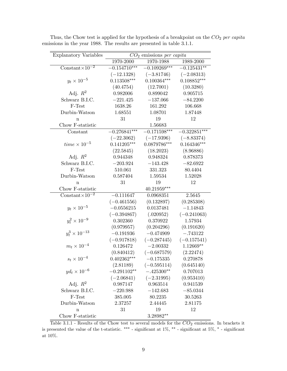| <b>Explanatory Variables</b> |                | $CO2$ emissions per capita |                |
|------------------------------|----------------|----------------------------|----------------|
|                              | 1970-2000      | 1970-1988                  | 1989-2000      |
| Constant $\times 10^{-2}$    | $-0.154710***$ | $-0.109269***$             | $-0.125431**$  |
|                              | $(-12.1328)$   | $(-3.81746)$               | $(-2.08313)$   |
| $y_t \times 10^{-5}$         | $0.113508***$  | $0.100364***$              | $0.108852***$  |
|                              | (40.4754)      | (12.7001)                  | (10.3280)      |
| Adj. $R^2$                   | 0.982006       | 0.899042                   | 0.905715       |
| Schwarz B.I.C.               | $-221.425$     | $-137.066$                 | $-84.2200$     |
| F-Test                       | 1638.26        | 161.292                    | 106.668        |
| Durbin-Watson                | 1.68551        | 1.08701                    | 1.87448        |
| $\mathbf n$                  | 31             | 19                         | 12             |
| Chow F-statistic             |                | 1.56683                    |                |
| Constant                     | $-0.276841***$ | $-0.171598***$             | $-0.322851***$ |
|                              | $(-22.3062)$   | $(-17.9396)$               | $(-8.83374)$   |
| $time \times 10^{-5}$        | $0.141205***$  | $0.0879786***$             | $0.164346***$  |
|                              | (22.5845)      | (18.2023)                  | (8.96886)      |
| Adj. $R^2$                   | 0.944348       | 0.948324                   | 0.878373       |
| Schwarz B.I.C.               | $-203.924$     | $-143.428$                 | $-82.6922$     |
| F-Test                       | 510.061        | 331.323                    | 80.4404        |
| Durbin-Watson                | 0.587404       | 1.59534                    | 1.52028        |
| n                            | 31             | 19                         | 12             |
| Chow F-statistic             |                | 40.21959***                |                |
| $Constant \times 10^{-2}$    | $-0.111647$    | 0.0968351                  | 2.5645         |
|                              | $(-0.461556)$  | (0.132897)                 | (0.285308)     |
| $y_t \times 10^{-5}$         | $-0.0556215$   | 0.0137481                  | $-1.14843$     |
|                              | $(-0.394867)$  | (.020952)                  | $(-0.241063)$  |
| $y_t^2 \times 10^{-9}$       | 0.302360       | 0.370922                   | 1.57934        |
|                              | (0.979957)     | (0.204296)                 | (0.191620)     |
| $y_t^3\times 10^{-13}$       | $-0.191936$    | $-0.474909$                | $-.743122$     |
|                              | $(-0.917818)$  | $(-0.287445)$              | $(-0.157541)$  |
| $m_t \times 10^{-4}$         | 0.126472       | $-2.00332$                 | $1.12669**$    |
|                              | (0.840412)     | $(-0.687579)$              | (2.22474)      |
| $s_t \times 10^{-4}$         | $0.402362***$  | $-0.175335$                | 0.270878       |
|                              | (2.81189)      | $(-0.595114)$              | (0.645140)     |
| $y d_t \times 10^{-6}$       | $-0.291102**$  | $-.425300**$               | 0.707013       |
|                              | $(-2.06841)$   | $(-2.31995)$               | (0.953410)     |
| Adj. $R^2$                   | 0.987147       | 0.963514                   | 0.941539       |
| Schwarz B.I.C.               | $-220.988$     | $-142.683$                 | $-85.0344$     |
| F-Test                       | 385.005        | 80.2235                    | 30.5263        |
| Durbin-Watson                | 2.37257        | 2.44445                    | 2.81175        |
| $\mathbf n$                  | 31             | 19                         | 12             |
| Chow F-statistic             |                | 3.28982**                  |                |

Thus, the Chow test is applied for the hypothesis of a breakpoint on the  $CO<sub>2</sub>$  per capita emissions in the year 1988. The results are presented in table 3.1.1.

Table 3.1.1 - Results of the Chow test to several models for the  $CO<sub>2</sub>$  emissions. In brackets it is presented the value of the t-statistic.  $***$  - significant at  $1\%$ ,  $**$  - significant at  $5\%$ ,  $*$  - significant at  $10\%.$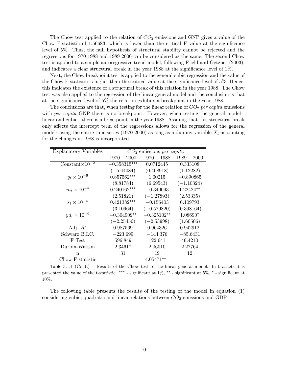The Chow test applied to the relation of  $CO<sub>2</sub>$  emissions and GNP gives a value of the Chow F-statistic of 1.56683, which is lower than the critical  $F$  value at the significance level of 5%. Thus, the null hypothesis of structural stability cannot be rejected and the regressions for 1970-1988 and 1989-2000 can be considered as the same. The second Chow test is applied to a simple autoregressive trend model, following Frield and Getzner (2003), and indicates a clear structural break in the year  $1988$  at the significance level of  $1\%$ .

Next, the Chow breakpoint test is applied to the general cubic regression and the value of the Chow F-statistic is higher than the critical value at the significance level of  $5\%$ . Hence, this indicates the existence of a structural break of this relation in the year 1988. The Chow test was also applied to the regression of the linear general model and the conclusion is that at the significance level of  $5\%$  the relation exhibits a breakpoint in the year 1988.

The conclusions are that, when testing for the linear relation of  $CO<sub>2</sub>$  per capita emissions with *per capita* GNP there is no breakpoint. However, when testing the general model linear and cubic - there is a breakpoint in the year 1988. Assumig that this structural break only affects the intercept term of the regressions allows for the regression of the general models using the entire time series (1970-2000) as long as a dummy variable  $X_t$  accounting for the changes in 1988 is incorporated.

| <b>Explanatory Variables</b> |                | $CO2$ emissions per capita |               |
|------------------------------|----------------|----------------------------|---------------|
|                              | $1970 - 2000$  | $1970 - 1988$              | $1989 - 2000$ |
| Constant $\times 10^{-2}$    | $-0.358315***$ | 0.0712445                  | 0.333108      |
|                              | $(-5.44084)$   | (0.408918)                 | (1.12282)     |
| $y_t \times 10^{-6}$         | $0.857562***$  | 1.00215                    | $-0.890865$   |
|                              | (8.81784)      | (6.69543)                  | $(-1.10324)$  |
| $m_t \times 10^{-4}$         | $0.240162***$  | $-0.340093$                | $1.22424**$   |
|                              | (2.51821)      | $(-1.27893)$               | (2.53335)     |
| $s_t \times 10^{-4}$         | $0.421382***$  | $-0.156403$                | 0.109793      |
|                              | (3.10964)      | $(-0.579820)$              | (0.398164)    |
| $y d_t \times 10^{-6}$       | $-0.304909**$  | $-0.325102**$              | 1.08690*      |
|                              | $(-2.25456)$   | $(-2.53998)$               | (1.60506)     |
| Adj. $R^2$                   | 0.987569       | 0.964326                   | 0.942912      |
| Schwarz B.I.C.               | $-223.699$     | $-144.376$                 | $-85.6431$    |
| F-Test                       | 596.849        | 122.641                    | 46.4210       |
| Durbin-Watson                | 2.34617        | 2.06010                    | 2.27764       |
| n                            | 31             | 19                         | 12            |
| Chow F-statistic             |                | $4.05471**$                |               |

Table 3.1.1 (Cont.) - Results of the Chow test to the linear general model. In brackets it is presented the value of the t-statistic. \*\*\* - significant at  $1\%$ , \*\* - significant at  $5\%$ , \* - significant at 10%.

The following table presents the results of the testing of the model in equation (1) considering cubic, quadratic and linear relations between  $CO<sub>2</sub>$  emissions and GDP.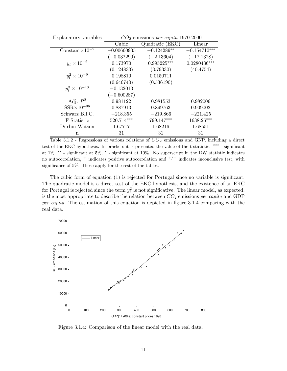| Explanatory variables     |               | $CO2$ emissions <i>per capita</i> 1970-2000 |                |  |
|---------------------------|---------------|---------------------------------------------|----------------|--|
|                           | Cubic         | Quadratic (EKC)                             | Linear         |  |
| Constant $\times 10^{-2}$ | $-0.00660935$ | $-0.124289**$                               | $-0.154710***$ |  |
|                           | $(-0.032290)$ | $(-2.13604)$                                | $(-12.1328)$   |  |
| $y_t \times 10^{-6}$      | 0.173970      | $0.995225***$                               | $0.0280436***$ |  |
|                           | (0.124833)    | (3.79330)                                   | (40.4754)      |  |
| $y_t^2 \times 10^{-9}$    | 0.198810      | 0.0150711                                   |                |  |
|                           | (0.646740)    | (0.536190)                                  |                |  |
| $y_t^3 \times 10^{-13}$   | $-0.132013$   |                                             |                |  |
|                           | $(-0.600287)$ |                                             |                |  |
| Adj. $R^2$                | 0.981122      | 0.981553                                    | 0.982006       |  |
| $SSR \times 10^{-06}$     | 0.887913      | 0.899763                                    | 0.909002       |  |
| Schwarz B.I.C.            | $-218.355$    | $-219.866$                                  | $-221.425$     |  |
| F-Statistic               | 520.714***    | 799.147***                                  | 1638.26***     |  |
| Durbin-Watson             | 1.67717       | 1.68216                                     | 1.68551        |  |
| n                         | 31            | 31                                          | 31             |  |

Table 3.1.2 - Regressions of various relations of  $CO<sub>2</sub>$  emissions and GNP, including a direct test of the EKC hypothesis. In brackets it is presented the value of the t-statistic. \*\*\* - significant at  $1\%$ , \*\* - significant at  $5\%$ , \* - significant at  $10\%$ . No superscript in the DW statistic indicates no autocorrelation,  $+$  indicates positive autocorrelation and  $+/-$  indicates inconclusive test, with significance of  $5\%$ . These apply for the rest of the tables.

The cubic form of equation  $(1)$  is rejected for Portugal since no variable is significant. The quadratic model is a direct test of the EKC hypothesis, and the existence of an EKC for Portugal is rejected since the term  $y_t^2$  is not significative. The linear model, as expected, is the most appropriate to describe the relation between  $CO<sub>2</sub>$  emissions per capita and GDP per capita. The estimation of this equation is depicted in figure 3.1.4 comparing with the real data.



Figure 3.1.4: Comparison of the linear model with the real data.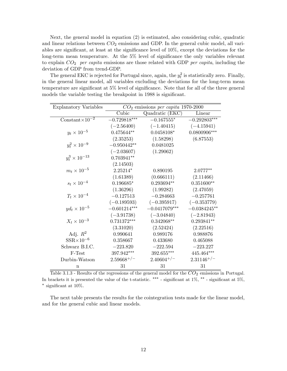Next, the general model in equation (2) is estimated, also considering cubic, quadratic and linear relations between  $CO<sub>2</sub>$  emissions and GDP. In the general cubic model, all variables are significant, at least at the significance level of  $10\%$ , except the deviations for the long-term mean temperature. At the  $5\%$  level of significance the only variables relevant to explain  $CO<sub>2</sub>$  per capita emissions are those related with GDP per capita, including the deviation of GDP from trend-GDP.

The general EKC is rejected for Portugal since, again, the  $y_t^2$  is statistically zero. Finally, in the general linear model, all variables excluding the deviations for the long-term mean temperature are significant at 5% level of significance. Note that for all of the three general models the variable testing the breakpoint in 1988 is significant.

| <b>Explanatory Variables</b> |                 | $CO2$ emissions per capita 1970-2000 |                 |
|------------------------------|-----------------|--------------------------------------|-----------------|
|                              | Cubic           | Quadratic (EKC)                      | Linear          |
| Constant $\times 10^{-2}$    | $-0.729818***$  | $-0.167555*$                         | $-0.292803***$  |
|                              | $(-2.56400)$    | $(-1.40415)$                         | $(-4.15941)$    |
| $y_t \times 10^{-5}$         | $0.475644**$    | $0.0458108*$                         | $0.0800906***$  |
|                              | (2.35253)       | (1.58298)                            | (6.87553)       |
| $y_t^2 \times 10^{-9}$       | $-0.950442**$   | 0.0481025                            |                 |
|                              | $(-2.03607)$    | (1.29062)                            |                 |
| $y_t^3 \times 10^{-13}$      | $0.703941**$    |                                      |                 |
|                              | (2.14503)       |                                      |                 |
| $m_t \times 10^{-5}$         | $2.25214*$      | 0.890195                             | $2.0777**$      |
|                              | (1.61389)       | (0.666111)                           | (2.11466)       |
| $s_t \times 10^{-4}$         | $0.196685*$     | $0.293694**$                         | $0.351600**$    |
|                              | (1.36296)       | (1.99282)                            | (2.47059)       |
| $T_t \times 10^{-4}$         | $-0.127513$     | $-0.284663$                          | $-0.257761$     |
|                              | $(-0.189593)$   | $(-0.395917)$                        | $(-0.353779)$   |
| $y d_t \times 10^{-5}$       | $-0.601214***$  | $-0.0417079***$                      | $-0.0384245**$  |
|                              | $(-3.91738)$    | $(-3.04840)$                         | $(-2.81943)$    |
| $X_t \times 10^{-3}$         | $0.731372***$   | $0.342068**$                         | $0.293841**$    |
|                              | (3.31020)       | (2.52424)                            | (2.22516)       |
| Adj. $R^2$                   | 0.990641        | 0.989176                             | 0.988876        |
| $SSR \times 10^{-6}$         | 0.358667        | 0.433680                             | 0.465088        |
| Schwarz B.I.C.               | $-223.820$      | $-222.594$                           | $-223.227$      |
| F-Test                       | 397.942***      | $392.655***$                         | 445.464***      |
| Durbin-Watson                | $2.59668^{+/-}$ | $2.40604^{+/-}$                      | $2.31146^{+/-}$ |
| n                            | 31              | 31                                   | 31              |

Table 3.1.3 - Results of the regressions of the general model for the  $CO_2$  emissions in Portugal. In brackets it is presented the value of the t-statistic.  $***$  - significant at  $1\%$ ,  $**$  - significant at  $5\%$ ,  $*$  significant at  $10\%$ .

The next table presents the results for the cointegration tests made for the linear model, and for the general cubic and linear models.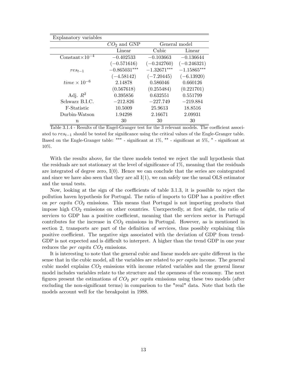| Explanatory variables              |                |               |               |
|------------------------------------|----------------|---------------|---------------|
|                                    | $CO2$ and GNP  |               | General model |
|                                    | Linear         | Cubic         | Linear        |
| Constant $\times$ 10 <sup>-4</sup> | $-0.402533$    | $-0.103663$   | $-0.136644$   |
|                                    | $(-0.571616)$  | $(-0.242760)$ | $(-0.246321)$ |
| $res_{t-1}$                        | $-0.865031***$ | $-1.32671***$ | $-1.15865***$ |
|                                    | $(-4.58142)$   | $(-7.20445)$  | $(-6.13920)$  |
| $time \times 10^{-6}$              | 2.14878        | 0.586046      | 0.660126      |
|                                    | (0.567618)     | (0.255484)    | (0.221701)    |
| Adj. $R^2$                         | 0.395856       | 0.632551      | 0.551799      |
| Schwarz B.LC.                      | $-212.826$     | $-227.749$    | $-219.884$    |
| F-Statistic                        | 10.5009        | 25.9613       | 18.8516       |
| Durbin-Watson                      | 1.94298        | 2.16671       | 2.09931       |
| n                                  | 30             | 30            | 30            |

Table 3.1.4 - Results of the Engel-Granger test for the 3 relevant models. The coefficient associated to  $res_{t-1}$  should be tested for significance using the critical values of the Engle-Granger table. Based on the Engle-Granger table: \*\*\* - significant at  $1\%$ , \*\* - significant at  $5\%$ , \* - significant at 10%.

With the results above, for the three models tested we reject the null hypothesis that the residuals are not stationary at the level of significance of  $1\%$ , meaning that the residuals are integrated of degree zero,  $I(0)$ . Hence we can conclude that the series are cointegrated and since we have also seen that they are all  $I(1)$ , we can safely use the usual OLS estimator and the usual tests.

Now, looking at the sign of the coefficients of table 3.1.3, it is possible to reject the pollution haven hypothesis for Portugal. The ratio of imports to GDP has a positive effect on per capita  $CO_2$  emissions. This means that Portugal is not importing products that impose high  $CO<sub>2</sub>$  emissions on other countries. Unexpectedly, at first sight, the ratio of services to GDP has a positive coefficient, meaning that the services sector in Portugal contributes for the increase in  $CO<sub>2</sub>$  emissions in Portugal. However, as is mentioned in section 2, transports are part of the definition of services, thus possibly explaining this positive coefficient. The negative sign associated with the deviation of GDP from trend-GDP is not expected and is difficult to interpret. A higher than the trend GDP in one year reduces the *per capita*  $CO<sub>2</sub>$  emissions.

It is interesting to note that the general cubic and linear models are quite different in the sense that in the cubic model, all the variables are related to *per capita* income. The general cubic model explains  $CO<sub>2</sub>$  emissions with income related variables and the general linear model includes variables relate to the structure and the openness of the economy. The next figures present the estimations of  $CO<sub>2</sub>$  per capita emissions using these two models (after excluding the non-significant terms) in comparison to the "real" data. Note that both the models account well for the breakpoint in 1988.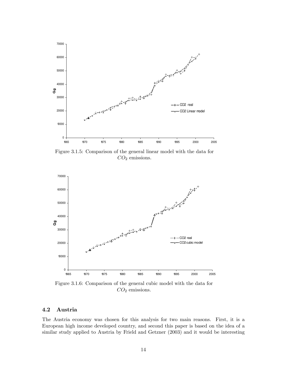

Figure 3.1.5: Comparison of the general linear model with the data for  $CO<sub>2</sub>$  emissions.



Figure 3.1.6: Comparison of the general cubic model with the data for  $CO<sub>2</sub>$  emissions.

## 4.2 Austria

The Austria economy was chosen for this analysis for two main reasons. First, it is a European high income developed country, and second this paper is based on the idea of a similar study applied to Austria by Frield and Getzner (2003) and it would be interesting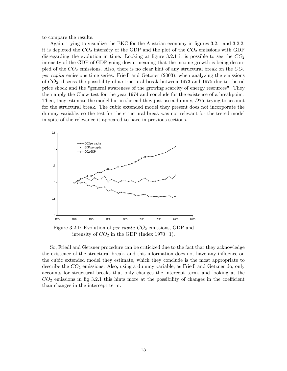to compare the results.

Again, trying to visualize the EKC for the Austrian economy in figures 3.2.1 and 3.2.2, it is depicted the  $CO_2$  intensity of the GDP and the plot of the  $CO_2$  emissions with GDP disregarding the evolution in time. Looking at figure 3.2.1 it is possible to see the  $CO<sub>2</sub>$ intensity of the GDP of GDP going down, meaning that the income growth is being decoupled of the  $CO_2$  emissions. Also, there is no clear hint of any structural break on the  $CO_2$ per capita emissions time series. Friedl and Getzner (2003), when analyzing the emissions of  $CO<sub>2</sub>$ , discuss the possibility of a structural break between 1973 and 1975 due to the oil price shock and the "general awareness of the growing scarcity of energy resources". They then apply the Chow test for the year 1974 and conclude for the existence of a breakpoint. Then, they estimate the model but in the end they just use a dummy, D75, trying to account for the structural break. The cubic extended model they present does not incorporate the dummy variable, so the test for the structural break was not relevant for the tested model in spite of the relevance it appeared to have in previous sections.





So, Friedl and Getzner procedure can be criticized due to the fact that they acknowledge the existence of the structural break, and this information does not have any influence on the cubic extended model they estimate, which they conclude is the most appropriate to describe the  $CO<sub>2</sub>$  emissions. Also, using a dummy variable, as Friedl and Getzner do, only accounts for structural breaks that only changes the intercept term, and looking at the  $CO<sub>2</sub>$  emissions in fig 3.2.1 this hints more at the possibility of changes in the coefficient than changes in the intercept term.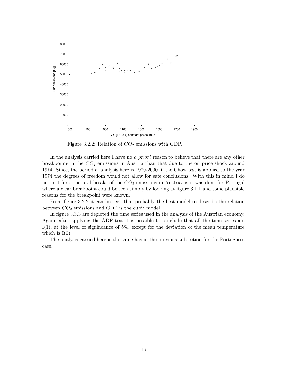

Figure 3.2.2: Relation of  $CO<sub>2</sub>$  emissions with GDP.

In the analysis carried here I have no a *priori* reason to believe that there are any other breakpoints in the  $CO<sub>2</sub>$  emissions in Austria than that due to the oil price shock around 1974. Since, the period of analysis here is 1970-2000, if the Chow test is applied to the year 1974 the degrees of freedom would not allow for safe conclusions. With this in mind I do not test for structural breaks of the  $CO<sub>2</sub>$  emissions in Austria as it was done for Portugal where a clear breakpoint could be seen simply by looking at figure  $3.1.1$  and some plausible reasons for the breakpoint were known.

From figure 3.2.2 it can be seen that probably the best model to describe the relation between  $CO<sub>2</sub>$  emissions and GDP is the cubic model.

In figure 3.3.3 are depicted the time series used in the analysis of the Austrian economy. Again, after applying the ADF test it is possible to conclude that all the time series are  $I(1)$ , at the level of significance of 5%, except for the deviation of the mean temperature which is  $I(0)$ .

The analysis carried here is the same has in the previous subsection for the Portuguese case.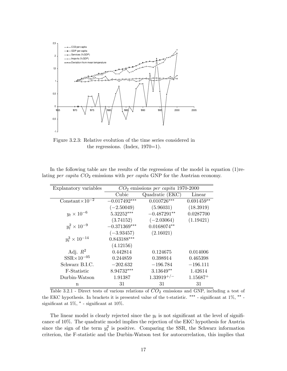

Figure 3.2.3: Relative evolution of the time series considered in the regressions. (Index, 1970=1).

In the following table are the results of the regressions of the model in equation (1)relating per capita  $CO<sub>2</sub>$  emissions with per capita GNP for the Austrian economy.

| Explanatory variables     |                | $CO2$ emissions <i>per capita</i> 1970-2000 |              |  |
|---------------------------|----------------|---------------------------------------------|--------------|--|
|                           | Cubic          | Quadratic (EKC)                             | Linear       |  |
| Constant $\times 10^{-2}$ | $-0.017492***$ | $0.010726***$                               | $0.691459**$ |  |
|                           | $(-2.50049)$   | (5.96031)                                   | (18.3919)    |  |
| $y_t \times 10^{-6}$      | 5.32252***     | $-0.487291**$                               | 0.0287700    |  |
|                           | (3.74152)      | $(-2.03064)$                                | (1.19421)    |  |
| $y_t^2 \times 10^{-9}$    | $-0.371369***$ | $0.0168074**$                               |              |  |
|                           | $(-3.93457)$   | (2.16021)                                   |              |  |
| $y_t^3 \times 10^{-14}$   | $0.843188***$  |                                             |              |  |
|                           | (4.12156)      |                                             |              |  |
| Adj. $R^2$                | 0.442814       | 0.124675                                    | 0.014006     |  |
| $SSR \times 10^{-05}$     | 0.244859       | 0.398914                                    | 0.465398     |  |
| Schwarz B.I.C.            | $-202.632$     | $-196.784$                                  | $-196.111$   |  |
| F-Statistic               | 8.94732***     | $3.13649**$                                 | 1.42614      |  |
| Durbin-Watson             | 1.91387        | $1.33919^{+/-}$                             | $1.15687+$   |  |
| n                         | 31             | 31                                          | 31           |  |

Table 3.2.1 - Direct tests of various relations of  $CO<sub>2</sub>$  emissions and GNP, including a test of the EKC hypothesis. In brackets it is presented value of the t-statistic.  $***$  - significant at 1%,  $**$  significant at  $5\%$ ,  $*$  - significant at 10%.

The linear model is clearly rejected since the  $y_t$  is not significant at the level of significance of 10%. The quadratic model implies the rejection of the EKC hypothesis for Austria since the sign of the term  $y_t^2$  is positive. Comparing the SSR, the Schwarz information criterion, the F-statistic and the Durbin-Watson test for autocorrelation, this implies that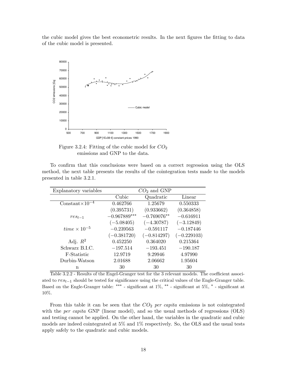the cubic model gives the best econometric results. In the next figures the fitting to data of the cubic model is presented.



Figure 3.2.4: Fitting of the cubic model for  $CO<sub>2</sub>$ emissions and GNP to the data.

To confirm that this conclusions were based on a correct regression using the OLS method, the next table presents the results of the cointegration tests made to the models presented in table 3.2.1.

| Explanatory variables     | $CO2$ and GNP  |               |               |
|---------------------------|----------------|---------------|---------------|
|                           | Cubic          | Quadratic     | Linear        |
| Constant $\times 10^{-4}$ | 0.462766       | 1.25679       | 0.550333      |
|                           | (0.395731)     | (0.933662)    | (0.364858)    |
| $res_{t-1}$               | $-0.967889***$ | $-0.769076**$ | $-0.616911$   |
|                           | $(-5.08405)$   | $(-4.30787)$  | $(-3.12849)$  |
| $time \times 10^{-5}$     | $-0.239563$    | $-0.591117$   | $-0.187446$   |
|                           | $(-0.381720)$  | $(-0.814297)$ | $(-0.229103)$ |
| Adj. $R^2$                | 0.452250       | 0.364020      | 0.215364      |
| Schwarz B.I.C.            | $-197.514$     | $-193.451$    | $-190.187$    |
| F-Statistic               | 12.9719        | 9.29946       | 4.97990       |
| Durbin-Watson             | 2.01688        | 2.06662       | 1.95604       |
| n                         | 30             | 30            | 30            |

Table  $3.2.2$  - Results of the Engel-Granger test for the 3 relevant models. The coefficient associated to  $res_{t-1}$  should be tested for significance using the critical values of the Engle-Granger table. Based on the Engle-Granger table: \*\*\* - significant at  $1\%$ , \*\* - significant at  $5\%$ , \* - significant at 10%.

From this table it can be seen that the  $CO<sub>2</sub>$  per capita emissions is not cointegrated with the *per capita* GNP (linear model), and so the usual methods of regressions (OLS) and testing cannot be applied. On the other hand, the variables in the quadratic and cubic models are indeed cointegrated at 5% and 1% respectively. So, the OLS and the usual tests apply safely to the quadratic and cubic models.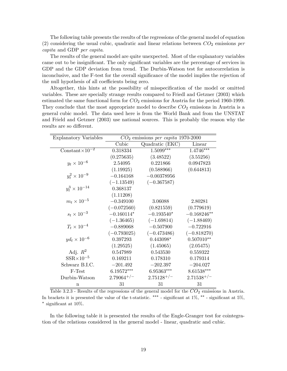The following table presents the results of the regressions of the general model of equation (2) considering the usual cubic, quadratic and linear relations between  $CO<sub>2</sub>$  emissions per capita and GDP per capita.

The results of the general model are quite unexpected. Most of the explanatory variables came out to be insignificant. The only significant variables are the percentage of services in GDP and the GDP deviation from trend. The Durbin-Watson test for autocorrelation is inconclusive, and the F-test for the overall significance of the model implies the rejection of the null hypothesis of all coefficients being zero.

Altogether, this hints at the possibility of misspecification of the model or omitted variables. These are specially strange results compared to Friedl and Getzner (2003) which estimated the same functional form for  $CO<sub>2</sub>$  emissions for Austria for the period 1960-1999. They conclude that the most appropriate model to describe  $CO<sub>2</sub>$  emissions in Austria is a general cubic model. The data used here is from the World Bank and from the UNSTAT and Frield and Getzner (2003) use national sources. This is probably the reason why the results are so different.

| <b>Explanatory Variables</b> |                 | $\overline{CO_2}$ emissions per capita 1970-2000 |                 |  |
|------------------------------|-----------------|--------------------------------------------------|-----------------|--|
|                              | Cubic           | Quadratic (EKC)                                  | Linear          |  |
| Constant $\times 10^{-2}$    | 0.318334        | $1.5099***$                                      | $1.4746***$     |  |
|                              | (0.275635)      | (3.48522)                                        | (3.55256)       |  |
| $y_t \times 10^{-6}$         | 2.54095         | 0.221866                                         | 0.0947823       |  |
|                              | (1.19925)       | (0.588966)                                       | (0.644813)      |  |
| $y_t^2 \times 10^{-9}$       | $-0.164168$     | $-0.00378956$                                    |                 |  |
|                              | $(-1.13549)$    | $(-0.367587)$                                    |                 |  |
| $y_t^3 \times 10^{-14}$      | 0.368137        |                                                  |                 |  |
|                              | (1.11208)       |                                                  |                 |  |
| $m_t \times 10^{-5}$         | $-0.349100$     | 3.06088                                          | 2.80281         |  |
|                              | $(-0.072560)$   | (0.821559)                                       | (0.779619)      |  |
| $s_t \times 10^{-3}$         | $-0.160114*$    | $-0.193540*$                                     | $-0.168246**$   |  |
|                              | $(-1.36465)$    | $(-1.69814)$                                     | $(-1.88469)$    |  |
| $T_t \times 10^{-4}$         | $-0.889068$     | $-0.507900$                                      | $-0.722916$     |  |
|                              | $(-0.793025)$   | $(-0.473486)$                                    | $(-0.818270)$   |  |
| $y d_t \times 10^{-6}$       | 0.397293        | $0.443098*$                                      | $0.507010**$    |  |
|                              | (1.29525)       | (1.45065)                                        | (2.05475)       |  |
| Adj. $R^2$                   | 0.547989        | 0.543530                                         | 0.559322        |  |
| $SSR \times 10^{-5}$         | 0.169211        | 0.178310                                         | 0.179314        |  |
| Schwarz B.I.C.               | $-201.492$      | $-202.397$                                       | $-204.027$      |  |
| F-Test                       | 6.19572***      | $6.95363***$                                     | 8.61538***      |  |
| Durbin-Watson                | $2.79064^{+/-}$ | $2.75128^{+/-}$                                  | $2.71538^{+/-}$ |  |
| $\mathbf n$                  | 31              | 31                                               | 31              |  |

Table 3.2.3 - Results of the regressions of the general model for the  $CO_2$  emissions in Austria. In brackets it is presented the value of the t-statistic.  $***$  - significant at  $1\%$ ,  $**$  - significant at  $5\%$ ,  $*$  significant at 10%.

In the following table it is presented the results of the Engle-Granger test for cointegration of the relations considered in the general model - linear, quadratic and cubic.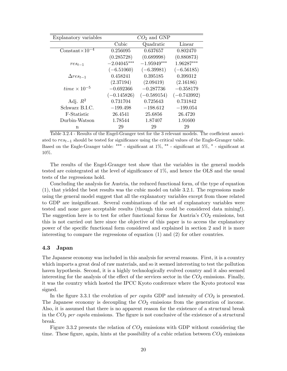| Explanatory variables     |               | $CO2$ and GNP |               |
|---------------------------|---------------|---------------|---------------|
|                           | Cubic         | Quadratic     | Linear        |
| Constant $\times 10^{-4}$ | 0.256095      | 0.637657      | 0.802470      |
|                           | (0.285728)    | (0.689998)    | (0.880873)    |
| $res_{t-1}$               | $-2.04045***$ | $-1.95949***$ | 1.96287***    |
|                           | $(-6.51060)$  | $(-6.39981)$  | $(-6.56185)$  |
| $\Delta res_{t-1}$        | 0.458241      | 0.395185      | 0.399312      |
|                           | (2.37194)     | (2.09419)     | (2.16186)     |
| $time \times 10^{-5}$     | $-0.692366$   | $-0.287736$   | $-0.358179$   |
|                           | $(-0.145826)$ | $(-0.589154)$ | $(-0.743992)$ |
| Adj. $R^2$                | 0.731704      | 0.725643      | 0.731842      |
| Schwarz B.I.C.            | $-199.498$    | $-198.612$    | $-199.054$    |
| F-Statistic               | 26.4541       | 25.6856       | 26.4720       |
| Durbin-Watson             | 1.78544       | 1.87407       | 1.91600       |
| n                         | 29            | 29            | 29            |

Table 3.2.4 - Results of the Engel-Granger test for the 3 relevant models. The coefficient associated to  $res_{t-1}$  should be tested for significance using the critical values of the Engle-Granger table. Based on the Engle-Granger table: \*\*\* - significant at  $1\%$ , \*\* - significant at  $5\%$ , \* - significant at 10%.

The results of the Engel-Granger test show that the variables in the general models tested are cointegrated at the level of significance of  $1\%$ , and hence the OLS and the usual tests of the regressions hold.

Concluding the analysis for Austria, the reduced functional form, of the type of equation (1), that yielded the best results was the cubic model on table 3.2.1. The regressions made using the general model suggest that all the explanatory variables except from those related to GDP are insignificant. Several combinations of the set of explanatory variables were tested and none gave acceptable results (though this could be considered data mining!). The suggestion here is to test for other functional forms for Austria's  $CO<sub>2</sub>$  emissions, but this is not carried out here since the objective of this paper is to access the explanatory power of the specific functional form considered and explained in section 2 and it is more interesting to compare the regressions of equation (1) and (2) for other countries.

#### 4.3 Japan

The Japanese economy was included in this analysis for several reasons. First, it is a country which imports a great deal of raw materials, and so it seemed interesting to test the pollution haven hypothesis. Second, it is a highly technologically evolved country and it also seemed interesting for the analysis of the effect of the services sector in the  $CO<sub>2</sub>$  emissions. Finally, it was the country which hosted the IPCC Kyoto conference where the Kyoto protocol was signed.

In the figure 3.3.1 the evolution of *per capita* GDP and intensity of  $CO<sub>2</sub>$  is presented. The Japanese economy is decoupling the  $CO<sub>2</sub>$  emissions from the generation of income. Also, it is assumed that there is no apparent reason for the existence of a structural break in the  $CO<sub>2</sub>$  per capita emissions. The figure is not conclusive of the existence of a structural break.

Figure 3.3.2 presents the relation of  $CO<sub>2</sub>$  emissions with GDP without considering the time. These figure, again, hints at the possibility of a cubic relation between  $CO_2$  emissions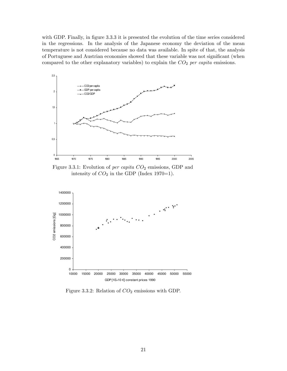with GDP. Finally, in figure 3.3.3 it is presented the evolution of the time series considered in the regressions. In the analysis of the Japanese economy the deviation of the mean temperature is not considered because no data was available. In spite of that, the analysis of Portuguese and Austrian economies showed that these variable was not significant (when compared to the other explanatory variables) to explain the  $CO<sub>2</sub>$  per capita emissions.



Figure 3.3.1: Evolution of *per capita*  $CO<sub>2</sub>$  emissions, GDP and intensity of  $CO<sub>2</sub>$  in the GDP (Index 1970=1).



Figure 3.3.2: Relation of  $CO<sub>2</sub>$  emissions with GDP.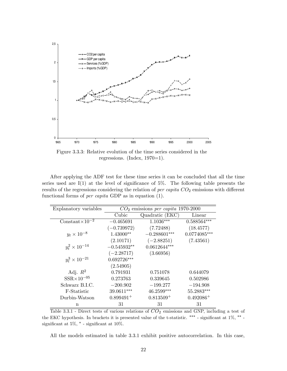

regressions. (Index, 1970=1).

After applying the ADF test for these time series it can be concluded that all the time series used are  $I(1)$  at the level of significance of 5%. The following table presents the results of the regressions considering the relation of *per capita*  $CO<sub>2</sub>$  emissions with different functional forms of per capita GDP as in equation (1).

| Explanatory variables     |               | $CO2$ emissions <i>per capita</i> 1970-2000 |                |  |  |
|---------------------------|---------------|---------------------------------------------|----------------|--|--|
|                           | Cubic         | Quadratic (EKC)                             | Linear         |  |  |
| Constant $\times 10^{-2}$ | $-0.465691$   | $1.1036***$                                 | $0.588564***$  |  |  |
|                           | $(-0.739972)$ | (7.72488)                                   | (18.4577)      |  |  |
| $y_t \times 10^{-8}$      | 1.43000**     | $-0.288601***$                              | $0.0774085***$ |  |  |
|                           | (2.10171)     | $(-2.88251)$                                | (7.43561)      |  |  |
| $y_t^2 \times 10^{-14}$   | $-0.545932**$ | $0.0612644***$                              |                |  |  |
|                           | $(-2.28717)$  | (3.66956)                                   |                |  |  |
| $y_t^3 \times 10^{-21}$   | $0.692726***$ |                                             |                |  |  |
|                           | (2.54905)     |                                             |                |  |  |
| Adj. $R^2$                | 0.791931      | 0.751078                                    | 0.644079       |  |  |
| $SSR \times 10^{-05}$     | 0.273763      | 0.339645                                    | 0.502986       |  |  |
| Schwarz B.I.C.            | $-200.902$    | $-199.277$                                  | $-194.908$     |  |  |
| F-Statistic               | 39.0611***    | 46.2599***                                  | 55.2883***     |  |  |
| Durbin-Watson             | $0.899491^+$  | $0.813509+$                                 | $0.492086^+$   |  |  |
| n                         | 31            | 31                                          | 31             |  |  |

Table 3.3.1 - Direct tests of various relations of  $CO<sub>2</sub>$  emissions and GNP, including a test of the EKC hypothesis. In brackets it is presented value of the t-statistic.  $***$  - significant at 1%,  $**$  significant at  $5\%$ ,  $*$  - significant at 10%.

All the models estimated in table 3.3.1 exhibit positive autocorrelation. In this case,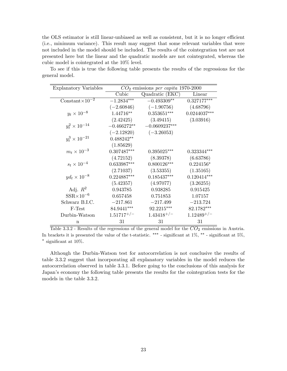the OLS estimator is still linear-unbiased as well as consistent, but it is no longer efficient (i.e., minimum variance). This result may suggest that some relevant variables that were not included in the model should be included. The results of the cointegration test are not presented here but the linear and the quadratic models are not cointegrated, whereas the cubic model is cointegrated at the 10% level.

| <b>Explanatory Variables</b> | $CO2$ emissions <i>per capita</i> 1970-2000 |                 |                 |  |
|------------------------------|---------------------------------------------|-----------------|-----------------|--|
|                              | Cubic                                       | Quadratic (EKC) | Linear          |  |
| Constant $\times 10^{-2}$    | $-1.2834***$                                | $-0.493309**$   | $0.327177***$   |  |
|                              | $(-2.60846)$                                | $(-1.90756)$    | (4.68796)       |  |
| $y_t \times 10^{-8}$         | 1.44716**                                   | $0.353651***$   | $0.0244037***$  |  |
|                              | (2.42425)                                   | (3.49415)       | (3.03916)       |  |
| $y_t^2 \times 10^{-14}$      | $-0.466272**$                               | $-0.0609237***$ |                 |  |
|                              | $(-2.12820)$                                | $(-3.26053)$    |                 |  |
| $y_t^3 \times 10^{-21}$      | $0.488242**$                                |                 |                 |  |
|                              | (1.85629)                                   |                 |                 |  |
| $m_t \times 10^{-3}$         | $0.307487***$                               | $0.395025***$   | $0.323344***$   |  |
|                              | (4.72152)                                   | (8.39378)       | (6.63786)       |  |
| $s_t \times 10^{-4}$         | $0.633987***$                               | $0.800126***$   | $0.224156*$     |  |
|                              | (2.71037)                                   | (3.53355)       | (1.35165)       |  |
| $y d_t \times 10^{-8}$       | $0.224887***$                               | $0.185437***$   | $0.120414***$   |  |
|                              | (5.42357)                                   | (4.97077)       | (3.26255)       |  |
| Adj. $R^2$                   | 0.943785                                    | 0.938285        | 0.915425        |  |
| $SSR \times 10^{-6}$         | 0.657458                                    | 0.751853        | 1.07157         |  |
| Schwarz B.I.C.               | $-217.861$                                  | $-217.499$      | $-213.724$      |  |
| F-Test                       | 84.9441***                                  | $92.2215***$    | 82.1782***      |  |
| Durbin-Watson                | $1.51717^{+/-}$                             | $1.43418^{+/-}$ | $1.12489^{+/-}$ |  |
| $\mathbf n$                  | 31                                          | 31              | 31              |  |

To see if this is true the following table presents the results of the regressions for the general model.

Although the Durbin-Watson test for autocorrelation is not conclusive the results of table 3.3.2 suggest that incorporating all explanatory variables in the model reduces the autocorrelation observed in table 3.3.1. Before going to the conclusions of this analysis for Japan's economy the following table presents the results for the cointegration tests for the models in the table 3.3.2.

Table 3.3.2 - Results of the regressions of the general model for the  $CO_2$  emissions in Austria. In brackets it is presented the value of the t-statistic.  $***$  - significant at  $1\%$ ,  $**$  - significant at  $5\%$ ,  $*$  significant at  $10\%$ .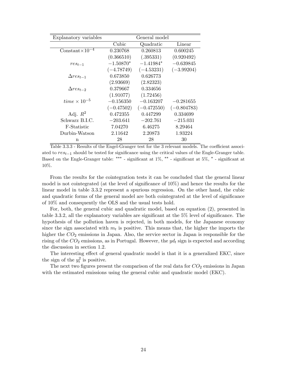| Explanatory variables     |              | General model |               |
|---------------------------|--------------|---------------|---------------|
|                           | Cubic        | Quadratic     | Linear        |
| Constant $\times 10^{-4}$ | 0.230768     | 0.260813      | 0.600245      |
|                           | (0.366510)   | (.395331)     | (0.920492)    |
| $res_{t-1}$               | $-1.50870*$  | $-1.41984*$   | $-0.639845$   |
|                           | $(-4.78749)$ | $(-4.53231)$  | $(-3.99204)$  |
| $\Delta res_{t-1}$        | 0.673850     | 0.626773      |               |
|                           | (2.93669)    | (2.82323)     |               |
| $\Delta res_{t-2}$        | 0.379667     | 0.334656      |               |
|                           | (1.91077)    | (1.72456)     |               |
| $time \times 10^{-5}$     | $-0.156350$  | $-0.163207$   | $-0.281655$   |
|                           | $(-0.47502)$ | $(-0.472550)$ | $(-0.804783)$ |
| Adj. $R^2$                | 0.472355     | 0.447299      | 0.334699      |
| Schwarz B.I.C.            | $-203.641$   | $-202.761$    | $-215.031$    |
| F-Statistic               | 7.04270      | 6.46275       | 8.29464       |
| Durbin-Watson             | 2.11642      | 2.20873       | 1.93224       |
| n                         | 28           | 28            | 30            |

Table 3.3.3 - Results of the Engel-Granger test for the 3 relevant models. The coefficient associated to  $res_{t-1}$  should be tested for significance using the critical values of the Engle-Granger table. Based on the Engle-Granger table: \*\*\* - significant at  $1\%$ , \*\* - significant at  $5\%$ , \* - significant at 10%.

From the results for the cointegration tests it can be concluded that the general linear model is not cointegrated (at the level of significance of  $10\%$ ) and hence the results for the linear model in table 3.3.2 represent a spurious regression. On the other hand, the cubic and quadratic forms of the general model are both cointegrated at the level of significance of 10% and consequently the OLS and the usual tests hold.

For, both, the general cubic and quadratic model, based on equation (2), presented in table 3.3.2, all the explanatory variables are significant at the 5% level of significance. The hypothesis of the pollution haven is rejected, in both models, for the Japanese economy since the sign associated with  $m_t$  is positive. This means that, the higher the imports the higher the  $CO<sub>2</sub>$  emissions in Japan. Also, the service sector in Japan is responsible for the rising of the  $CO_2$  emissions, as in Portugal. However, the  $ydt$  sign is expected and according the discussion in section 1.2.

The interesting effect of general quadratic model is that it is a generalized EKC, since the sign of the  $y_t^2$  is positive.

The next two figures present the comparison of the real data for  $CO<sub>2</sub>$  emissions in Japan with the estimated emissions using the general cubic and quadratic model (EKC).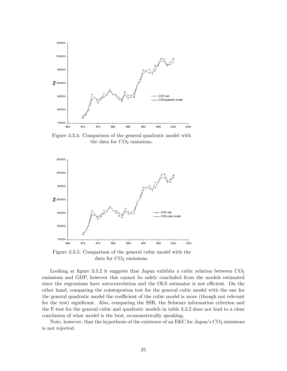

Figure 3.3.4: Comparison of the general quadratic model with the data for  $CO<sub>2</sub>$  emissions.



Figure 3.3.5: Comparison of the general cubic model with the data for  $CO<sub>2</sub>$  emissions.

Looking at figure 3.3.2 it suggests that Japan exhibits a cubic relation between  $CO<sub>2</sub>$ emissions and GDP, however this cannot be safely concluded from the models estimated since the regressions have autocorrelation and the OLS estimator is not efficient. On the other hand, comparing the cointegration test for the general cubic model with the one for the general quadratic model the coefficient of the cubic model is more (though not relevant for the test) significant. Also, comparing the SSR, the Schwarz information criterion and the F-test for the general cubic and quadratic models in table 3.3.2 does not lead to a clear conclusion of what model is the best, econometrically speaking.

Note, however, that the hypothesis of the existence of an EKC for Japan's  $CO<sub>2</sub>$  emissions is not rejected.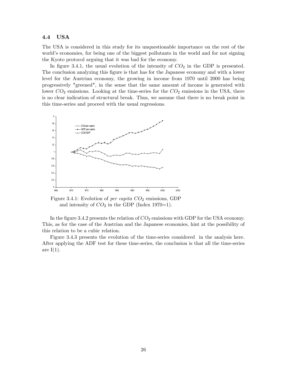#### 4.4 USA

The USA is considered in this study for its unquestionable importance on the rest of the world's economies, for being one of the biggest pollutants in the world and for not signing the Kyoto protocol arguing that it was bad for the economy.

In figure 3.4.1, the usual evolution of the intensity of  $CO<sub>2</sub>$  in the GDP is presented. The conclusion analyzing this figure is that has for the Japanese economy and with a lower level for the Austrian economy, the growing in income from 1970 until 2000 has being progressively "greened", in the sense that the same amount of income is generated with lower  $CO_2$  emissions. Looking at the time-series for the  $CO_2$  emissions in the USA, there is no clear indication of structural break. Thus, we assume that there is no break point in this time-series and proceed with the usual regressions.



Figure 3.4.1: Evolution of *per capita*  $CO<sub>2</sub>$  emissions, GDP and intensity of  $CO_2$  in the GDP (Index 1970=1).

In the figure 3.4.2 presents the relation of  $CO<sub>2</sub>$  emissions with GDP for the USA economy. This, as for the case of the Austrian and the Japanese economies, hint at the possibility of this relation to be a cubic relation.

Figure 3.4.3 presents the evolution of the time-series considered in the analysis here. After applying the ADF test for these time-series, the conclusion is that all the time-series are  $I(1)$ .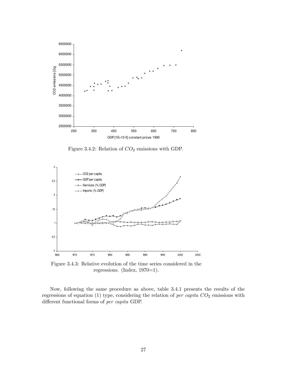

Figure 3.4.2: Relation of  $CO<sub>2</sub>$  emissions with GDP.



Figure 3.4.3: Relative evolution of the time series considered in the regressions. (Index, 1970=1).

Now, following the same procedure as above, table 3.4.1 presents the results of the regressions of equation (1) type, considering the relation of *per capita*  $CO<sub>2</sub>$  emissions with different functional forms of per capita GDP.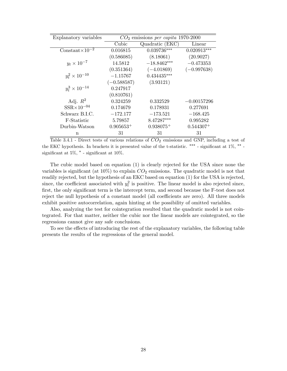| Explanatory variables     | $CO2$ emissions <i>per capita</i> 1970-2000 |                 |               |  |
|---------------------------|---------------------------------------------|-----------------|---------------|--|
|                           | Cubic                                       | Quadratic (EKC) | Linear        |  |
| Constant $\times 10^{-2}$ | 0.016815                                    | $0.039736***$   | $0.020913***$ |  |
|                           | (0.586085)                                  | (8.18061)       | (20.9027)     |  |
| $y_t \times 10^{-7}$      | 14.5812                                     | $-18.8462***$   | $-0.473353$   |  |
|                           | (0.351364)                                  | $(-4.01869)$    | $(-0.997638)$ |  |
| $y_t^2 \times 10^{-10}$   | $-1.15767$                                  | $0.434435***$   |               |  |
|                           | $(-0.588587)$                               | (3.93121)       |               |  |
| $y_t^3 \times 10^{-14}$   | 0.247917                                    |                 |               |  |
|                           | (0.810761)                                  |                 |               |  |
| Adj. $R^2$                | 0.324259                                    | 0.332529        | $-0.00157296$ |  |
| $SSR \times 10^{-04}$     | 0.174679                                    | 0.178931        | 0.277691      |  |
| Schwarz B.I.C.            | $-172.177$                                  | $-173.521$      | $-168.425$    |  |
| F-Statistic               | 5.79857                                     | 8.47287***      | 0.995282      |  |
| Durbin-Watson             | $0.905653+$                                 | $0.938075^{+}$  | $0.544307+$   |  |
| n                         | 31                                          | 31              | 31            |  |

Table 3.4.1 - Direct tests of various relations of  $CO<sub>2</sub>$  emissions and GNP, including a test of the EKC hypothesis. In brackets it is presented value of the t-statistic.  $***$  - significant at 1%,  $**$  significant at  $5\%$ ,  $*$  - significant at  $10\%$ .

The cubic model based on equation (1) is clearly rejected for the USA since none the variables is significant (at  $10\%$ ) to explain  $CO<sub>2</sub>$  emissions. The quadratic model is not that readily rejected, but the hypothesis of an EKC based on equation (1) for the USA is rejected, since, the coefficient associated with  $y_t^2$  is positive. The linear model is also rejected since, first, the only significant term is the intercept term, and second because the F-test does not reject the null hypothesis of a constant model (all coefficients are zero). All three models exhibit positive autocorrelation, again hinting at the possibility of omitted variables.

Also, analyzing the test for cointegration resulted that the quadratic model is not cointegrated. For that matter, neither the cubic nor the linear models are cointegrated, so the regressions cannot give any safe conclusions.

To see the effects of introducing the rest of the explanatory variables, the following table presents the results of the regressions of the general model.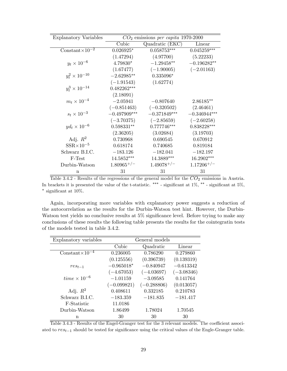| <b>Explanatory Variables</b> | $CO2$ emissions <i>per capita</i> 1970-2000 |                 |                 |  |
|------------------------------|---------------------------------------------|-----------------|-----------------|--|
|                              | Cubic                                       | Quadratic (EKC) | Linear          |  |
| Constant $\times 10^{-2}$    | $0.026925*$                                 | $0.058753***$   | $0.045259***$   |  |
|                              | (1.47294)                                   | (4.97700)       | (5.22233)       |  |
| $y_t \times 10^{-6}$         | 4.79830*                                    | $-1.29458**$    | $-0.196282**$   |  |
|                              | (1.67477)                                   | $(-1.90005)$    | $(-2.01163)$    |  |
| $y_t^2 \times 10^{-10}$      | $-2.62985**$                                | $0.335096*$     |                 |  |
|                              | $(-1.91543)$                                | (1.62774)       |                 |  |
| $y_t^3 \times 10^{-14}$      | $0.482262***$                               |                 |                 |  |
|                              | (2.18091)                                   |                 |                 |  |
| $m_t \times 10^{-4}$         | $-2.05941$                                  | $-0.807640$     | 2.86185**       |  |
|                              | $(-0.851463)$                               | $(-0.320502)$   | (2.46461)       |  |
| $s_t \times 10^{-3}$         | $-0.497909***$                              | $-0.371849***$  | $-0.346944***$  |  |
|                              | $(-3.70375)$                                | $(-2.85659)$    | $(-2.60258)$    |  |
| $y d_t \times 10^{-6}$       | $0.598331**$                                | $0.777746***$   | $0.838228***$   |  |
|                              | (2.36205)                                   | (3.02684)       | (3.19703)       |  |
| Adj. $R^2$                   | 0.730968                                    | 0.690545        | 0.670912        |  |
| $SSR \times 10^{-5}$         | 0.618174                                    | 0.740685        | 0.819184        |  |
| Schwarz B.I.C.               | $-183.126$                                  | $-182.041$      | $-182.197$      |  |
| F-Test                       | 14.5852***                                  | 14.3889***      | 16.2902***      |  |
| Durbin-Watson                | $1.80965^{+/-}$                             | $1.49078^{+/-}$ | $1.17206^{+/-}$ |  |
| $\mathbf n$                  | 31                                          | 31              | 31              |  |

Table 3.4.2 - Results of the regressions of the general model for the  $CO_2$  emissions in Austria. In brackets it is presented the value of the t-statistic.  $***$  - significant at  $1\%$ ,  $**$  - significant at  $5\%$ ,  $*$  significant at 10%.

Again, incorporating more variables with explanatory power suggests a reduction of the autocorrelation as the results for the Durbin-Watson test hint. However, the Durbin-Watson test yields no conclusive results at 5% significance level. Before trying to make any conclusions of these results the following table presents the results for the cointegratin tests of the models tested in table 3.4.2.

| Explanatory variables     | General models |               |              |
|---------------------------|----------------|---------------|--------------|
|                           | Cubic          | Quadratic     | Linear       |
| Constant $\times 10^{-4}$ | 0.236005       | 0.786290      | 0.279860     |
|                           | (0.125556)     | (0.396739)    | (0.139319)   |
| $res_{t-1}$               | $-0.965018*$   | $-0.840947$   | $-0.613342$  |
|                           | $(-4.67053)$   | $(-4.03697)$  | $(-3.08346)$ |
| $time \times 10^{-6}$     | $-1.01159$     | $-3.09585$    | 0.141764     |
|                           | $(-0.099821)$  | $(-0.288806)$ | (0.013057)   |
| Adj. $R^2$                | 0.408611       | 0.332185      | 0.210783     |
| Schwarz B.I.C.            | $-183.359$     | $-181.835$    | $-181.417$   |
| F-Statistic               | 11.0186        |               |              |
| Durbin-Watson             | 1.86499        | 1.78024       | 1.70545      |
| n                         | 30             | 30            | 30           |

Table  $3.4.3$  - Results of the Engel-Granger test for the 3 relevant models. The coefficient associated to  $res_{t-1}$  should be tested for significance using the critical values of the Engle-Granger table.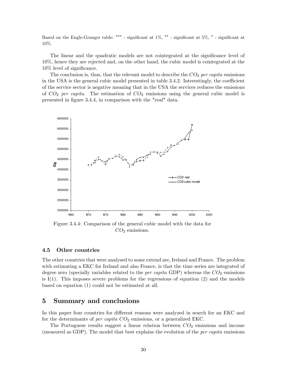Based on the Engle-Granger table: \*\*\* - significant at  $1\%$ , \*\* - significant at  $5\%$ , \* - significant at 10%.

The linear and the quadratic models are not cointegrated at the significance level of 10%, hence they are rejected and, on the other hand, the cubic model is cointegrated at the  $10\%$  level of significance.

The conclusion is, thus, that the relevant model to describe the  $CO<sub>2</sub>$  per capita emissions in the USA is the general cubic model presented in table  $3.4.2$ . Interestingly, the coefficient of the service sector is negative meaning that in the USA the services reduces the emissions of  $CO<sub>2</sub>$  per capita. The estimation of  $CO<sub>2</sub>$  emissions using the general cubic model is presented in figure 3.4.4, in comparison with the "real" data.



Figure 3.4.4: Comparison of the general cubic model with the data for  $CO<sub>2</sub>$  emissions.

#### 4.5 Other countries

The other countries that were analysed to some extend are, Ireland and France. The problem with estimating a EKC for Ireland and also France, is that the time series are integrated of degree zero (specially variables related to the *per capita* GDP) whereas the  $CO<sub>2</sub>$  emissions is  $I(1)$ . This imposes severe problems for the regressions of equation (2) and the models based on equation (1) could not be estimated at all.

## 5 Summary and conclusions

In this paper four countries for different reasons were analyzed in search for an EKC and for the determinants of *per capita*  $CO<sub>2</sub>$  emissions, or a generalized EKC.

The Portuguese results suggest a linear relation between  $CO<sub>2</sub>$  emissions and income (measured as GDP). The model that best explains the evolution of the per capita emissions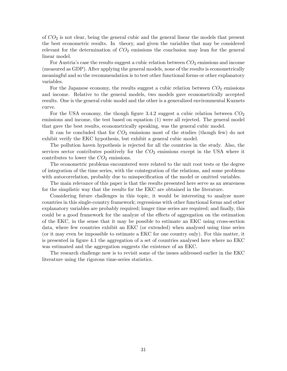of  $CO<sub>2</sub>$  is not clear, being the general cubic and the general linear the models that present the best econometric results. In theory, and given the variables that may be considered relevant for the determination of  $CO<sub>2</sub>$  emissions the conclusion may lean for the general linear model.

For Austria's case the results suggest a cubic relation between  $CO<sub>2</sub>$  emissions and income (measured as GDP). After applying the general models, none of the results is econometrically meaningful and so the recommendation is to test other functional forms or other explanatory variables.

For the Japanese economy, the results suggest a cubic relation between  $CO<sub>2</sub>$  emissions and income. Relative to the general models, two models gave econometrically accepted results. One is the general cubic model and the other is a generalized environmental Kuznets curve.

For the USA economy, the though figure 3.4.2 suggest a cubic relation between  $CO<sub>2</sub>$ emissions and income, the test based on equation (1) were all rejected. The general model that gave the best results, econometrically speaking, was the general cubic model.

It can be concluded that for  $CO<sub>2</sub>$  emissions most of the studies (though few) do not exhibit verify the EKC hypothesis, but exhibit a general cubic model.

The pollution haven hypothesis is rejected for all the countries in the study. Also, the services sector contributes positively for the  $CO<sub>2</sub>$  emissions except in the USA where it contributes to lower the  $CO<sub>2</sub>$  emissions.

The econometric problems encountered were related to the unit root tests or the degree of integration of the time series, with the cointegration of the relations, and some problems with autocorrelation, probably due to misspecification of the model or omitted variables.

The main relevance of this paper is that the results presented here serve as an awareness for the simplistic way that the results for the EKC are obtained in the literature.

Considering future challenges in this topic, it would be interesting to analyze more countries in this single-country framework; regressions with other functional forms and other explanatory variables are probably required; longer time series are required; and finally, this could be a good framework for the analyze of the effects of aggregation on the estimation of the EKC, in the sense that it may be possible to estimate an EKC using cross-section data, where few countries exhibit an EKC (or extended) when analysed using time series (or it may even be impossible to estimate a EKC for one country only). For this matter, it is presented in figure 4.1 the aggregation of a set of countries analysed here where no EKC was estimated and the aggregation suggests the existence of an EKC.

The research challenge now is to revisit some of the issues addressed earlier in the EKC literature using the rigorous time-series statistics.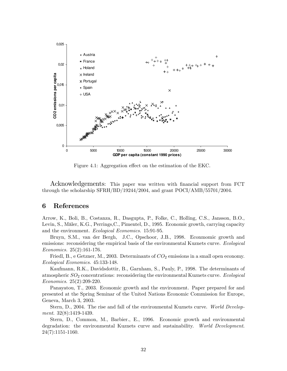

Figure 4.1: Aggregation effect on the estimation of the EKC.

Acknowledgements: This paper was written with financial support from FCT through the scholarship SFRH/BD/19244/2004, and grant POCI/AMB/55701/2004.

## 6 References

Arrow, K., Boli, B., Costanza, R., Dasgupta, P., Folke, C., Holling, C.S., Jansson, B.O., Levin, S., M‰ler, K.G., Perrings,C., Pimentel, D., 1995. Economic growth, carrying capacity and the environment. Ecological Economics. 15:91-95.

Bruyn, S.M., van der Bergh, J.C., Opschoor, J.B., 1998. Econmomic growth and emissions: reconsidering the empirical basis of the environmental Kuznets curve. *Ecological* Economics. 25(2):161-176.

Friedl, B., e Getzner, M., 2003. Determinants of  $CO<sub>2</sub>$  emissions in a small open economy. Ecological Economics. 45:133-148.

Kaufmann, R.K., Davidsdottir, B., Garnham, S., Pauly, P., 1998. The determinants of atmospheric  $SO_2$  concentrations: reconsidering the environmental Kuznets curve. Ecological Economics. 25(2):209-220.

Panayatou, T., 2003. Economic growth and the environment. Paper prepared for and presented at the Spring Seminar of the United Nations Economic Commission for Europe, Geneva, March 3, 2003.

Stern, D., 2004. The rise and fall of the environmental Kuznets curve. World Development. 32(8):1419-1439.

Stern, D., Common, M., Barbier., E., 1996. Economic growth and environmental degradation: the environmental Kuznets curve and sustainability. World Development. 24(7):1151-1160.